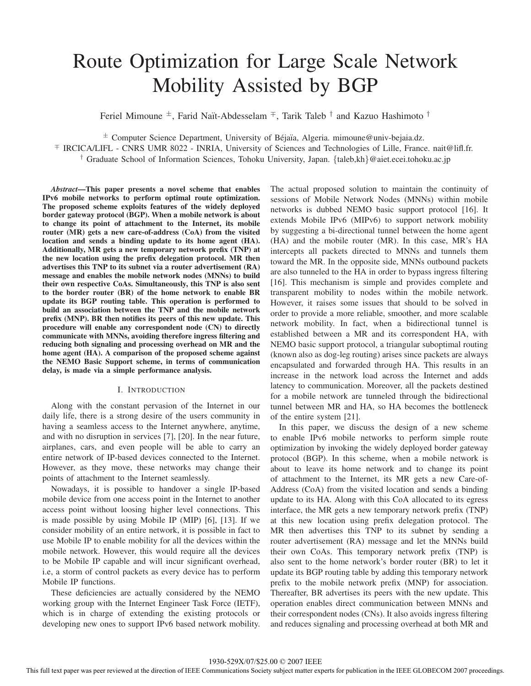# Route Optimization for Large Scale Network Mobility Assisted by BGP

Feriel Mimoune  $\pm$ , Farid Naït-Abdesselam  $\pm$ , Tarik Taleb  $\dagger$  and Kazuo Hashimoto  $\dagger$ 

 $\pm$  Computer Science Department, University of Béjaïa, Algeria. mimoune@univ-bejaia.dz.

∓ IRCICA/LIFL - CNRS UMR 8022 - INRIA, University of Sciences and Technologies of Lille, France. nait@lifl.fr.

† Graduate School of Information Sciences, Tohoku University, Japan. *{*taleb,kh*}*@aiet.ecei.tohoku.ac.jp

*Abstract***—This paper presents a novel scheme that enables IPv6 mobile networks to perform optimal route optimization. The proposed scheme exploits features of the widely deployed border gateway protocol (BGP). When a mobile network is about to change its point of attachment to the Internet, its mobile router (MR) gets a new care-of-address (CoA) from the visited location and sends a binding update to its home agent (HA). Additionally, MR gets a new temporary network prefix (TNP) at the new location using the prefix delegation protocol. MR then advertises this TNP to its subnet via a router advertisement (RA) message and enables the mobile network nodes (MNNs) to build their own respective CoAs. Simultaneously, this TNP is also sent to the border router (BR) of the home network to enable BR update its BGP routing table. This operation is performed to build an association between the TNP and the mobile network prefix (MNP). BR then notifies its peers of this new update. This procedure will enable any correspondent node (CN) to directly communicate with MNNs, avoiding therefore ingress filtering and reducing both signaling and processing overhead on MR and the home agent (HA). A comparison of the proposed scheme against the NEMO Basic Support scheme, in terms of communication delay, is made via a simple performance analysis.**

## I. INTRODUCTION

Along with the constant pervasion of the Internet in our daily life, there is a strong desire of the users community in having a seamless access to the Internet anywhere, anytime, and with no disruption in services [7], [20]. In the near future, airplanes, cars, and even people will be able to carry an entire network of IP-based devices connected to the Internet. However, as they move, these networks may change their points of attachment to the Internet seamlessly.

Nowadays, it is possible to handover a single IP-based mobile device from one access point in the Internet to another access point without loosing higher level connections. This is made possible by using Mobile IP (MIP) [6], [13]. If we consider mobility of an entire network, it is possible in fact to use Mobile IP to enable mobility for all the devices within the mobile network. However, this would require all the devices to be Mobile IP capable and will incur significant overhead, i.e, a storm of control packets as every device has to perform Mobile IP functions.

These deficiencies are actually considered by the NEMO working group with the Internet Engineer Task Force (IETF), which is in charge of extending the existing protocols or developing new ones to support IPv6 based network mobility. The actual proposed solution to maintain the continuity of sessions of Mobile Network Nodes (MNNs) within mobile networks is dubbed NEMO basic support protocol [16]. It extends Mobile IPv6 (MIPv6) to support network mobility by suggesting a bi-directional tunnel between the home agent (HA) and the mobile router (MR). In this case, MR's HA intercepts all packets directed to MNNs and tunnels them toward the MR. In the opposite side, MNNs outbound packets are also tunneled to the HA in order to bypass ingress filtering [16]. This mechanism is simple and provides complete and transparent mobility to nodes within the mobile network. However, it raises some issues that should to be solved in order to provide a more reliable, smoother, and more scalable network mobility. In fact, when a bidirectional tunnel is established between a MR and its correspondent HA, with NEMO basic support protocol, a triangular suboptimal routing (known also as dog-leg routing) arises since packets are always encapsulated and forwarded through HA. This results in an increase in the network load across the Internet and adds latency to communication. Moreover, all the packets destined for a mobile network are tunneled through the bidirectional tunnel between MR and HA, so HA becomes the bottleneck of the entire system [21].

In this paper, we discuss the design of a new scheme to enable IPv6 mobile networks to perform simple route optimization by invoking the widely deployed border gateway protocol (BGP). In this scheme, when a mobile network is about to leave its home network and to change its point of attachment to the Internet, its MR gets a new Care-of-Address (CoA) from the visited location and sends a binding update to its HA. Along with this CoA allocated to its egress interface, the MR gets a new temporary network prefix (TNP) at this new location using prefix delegation protocol. The MR then advertises this TNP to its subnet by sending a router advertisement (RA) message and let the MNNs build their own CoAs. This temporary network prefix (TNP) is also sent to the home network's border router (BR) to let it update its BGP routing table by adding this temporary network prefix to the mobile network prefix (MNP) for association. Thereafter, BR advertises its peers with the new update. This operation enables direct communication between MNNs and their correspondent nodes (CNs). It also avoids ingress filtering and reduces signaling and processing overhead at both MR and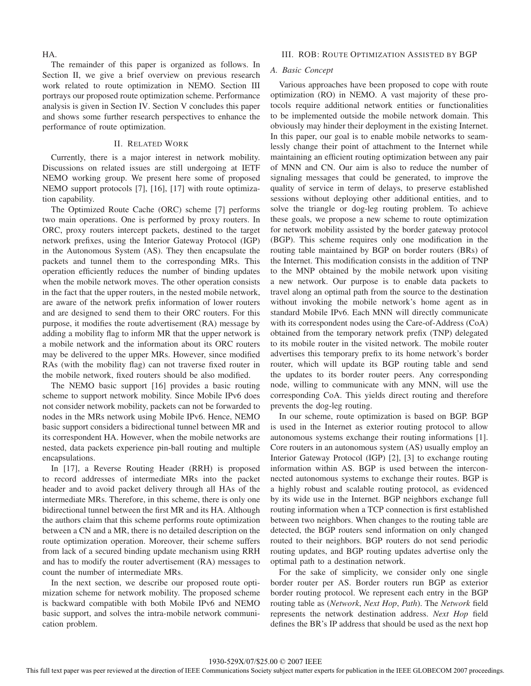HA.

The remainder of this paper is organized as follows. In Section II, we give a brief overview on previous research work related to route optimization in NEMO. Section III portrays our proposed route optimization scheme. Performance analysis is given in Section IV. Section V concludes this paper and shows some further research perspectives to enhance the performance of route optimization.

# II. RELATED WORK

Currently, there is a major interest in network mobility. Discussions on related issues are still undergoing at IETF NEMO working group. We present here some of proposed NEMO support protocols [7], [16], [17] with route optimization capability.

The Optimized Route Cache (ORC) scheme [7] performs two main operations. One is performed by proxy routers. In ORC, proxy routers intercept packets, destined to the target network prefixes, using the Interior Gateway Protocol (IGP) in the Autonomous System (AS). They then encapsulate the packets and tunnel them to the corresponding MRs. This operation efficiently reduces the number of binding updates when the mobile network moves. The other operation consists in the fact that the upper routers, in the nested mobile network, are aware of the network prefix information of lower routers and are designed to send them to their ORC routers. For this purpose, it modifies the route advertisement (RA) message by adding a mobility flag to inform MR that the upper network is a mobile network and the information about its ORC routers may be delivered to the upper MRs. However, since modified RAs (with the mobility flag) can not traverse fixed router in the mobile network, fixed routers should be also modified.

The NEMO basic support [16] provides a basic routing scheme to support network mobility. Since Mobile IPv6 does not consider network mobility, packets can not be forwarded to nodes in the MRs network using Mobile IPv6. Hence, NEMO basic support considers a bidirectional tunnel between MR and its correspondent HA. However, when the mobile networks are nested, data packets experience pin-ball routing and multiple encapsulations.

In [17], a Reverse Routing Header (RRH) is proposed to record addresses of intermediate MRs into the packet header and to avoid packet delivery through all HAs of the intermediate MRs. Therefore, in this scheme, there is only one bidirectional tunnel between the first MR and its HA. Although the authors claim that this scheme performs route optimization between a CN and a MR, there is no detailed description on the route optimization operation. Moreover, their scheme suffers from lack of a secured binding update mechanism using RRH and has to modify the router advertisement (RA) messages to count the number of intermediate MRs.

In the next section, we describe our proposed route optimization scheme for network mobility. The proposed scheme is backward compatible with both Mobile IPv6 and NEMO basic support, and solves the intra-mobile network communication problem.

## III. ROB: ROUTE OPTIMIZATION ASSISTED BY BGP

# *A. Basic Concept*

Various approaches have been proposed to cope with route optimization (RO) in NEMO. A vast majority of these protocols require additional network entities or functionalities to be implemented outside the mobile network domain. This obviously may hinder their deployment in the existing Internet. In this paper, our goal is to enable mobile networks to seamlessly change their point of attachment to the Internet while maintaining an efficient routing optimization between any pair of MNN and CN. Our aim is also to reduce the number of signaling messages that could be generated, to improve the quality of service in term of delays, to preserve established sessions without deploying other additional entities, and to solve the triangle or dog-leg routing problem. To achieve these goals, we propose a new scheme to route optimization for network mobility assisted by the border gateway protocol (BGP). This scheme requires only one modification in the routing table maintained by BGP on border routers (BRs) of the Internet. This modification consists in the addition of TNP to the MNP obtained by the mobile network upon visiting a new network. Our purpose is to enable data packets to travel along an optimal path from the source to the destination without invoking the mobile network's home agent as in standard Mobile IPv6. Each MNN will directly communicate with its correspondent nodes using the Care-of-Address (CoA) obtained from the temporary network prefix (TNP) delegated to its mobile router in the visited network. The mobile router advertises this temporary prefix to its home network's border router, which will update its BGP routing table and send the updates to its border router peers. Any corresponding node, willing to communicate with any MNN, will use the corresponding CoA. This yields direct routing and therefore prevents the dog-leg routing.

In our scheme, route optimization is based on BGP. BGP is used in the Internet as exterior routing protocol to allow autonomous systems exchange their routing informations [1]. Core routers in an autonomous system (AS) usually employ an Interior Gateway Protocol (IGP) [2], [3] to exchange routing information within AS. BGP is used between the interconnected autonomous systems to exchange their routes. BGP is a highly robust and scalable routing protocol, as evidenced by its wide use in the Internet. BGP neighbors exchange full routing information when a TCP connection is first established between two neighbors. When changes to the routing table are detected, the BGP routers send information on only changed routed to their neighbors. BGP routers do not send periodic routing updates, and BGP routing updates advertise only the optimal path to a destination network.

For the sake of simplicity, we consider only one single border router per AS. Border routers run BGP as exterior border routing protocol. We represent each entry in the BGP routing table as (*Network*, *Next Hop*, *Path*). The *Network* field represents the network destination address. *Next Hop* field defines the BR's IP address that should be used as the next hop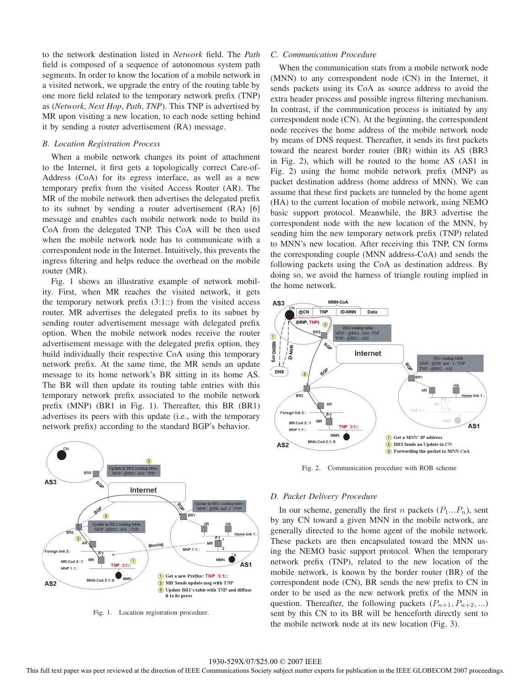to the network destination listed in *Network* field. The *Path* field is composed of a sequence of autonomous system path segments. In order to know the location of a mobile network in a visited network, we upgrade the entry of the routing table by one more field related to the temporary network prefix (TNP) as (*Network*, *Next Hop*, *Path*, *TNP*). This TNP is advertised by MR upon visiting a new location, to each node setting behind it by sending a router advertisement (RA) message.

# *B. Location Registration Process*

When a mobile network changes its point of attachment to the Internet, it first gets a topologically correct Care-of-Address (CoA) for its egress interface, as well as a new temporary prefix from the visited Access Router (AR). The MR of the mobile network then advertises the delegated prefix to its subnet by sending a router advertisement (RA) [6] message and enables each mobile network node to build its CoA from the delegated TNP. This CoA will be then used when the mobile network node has to communicate with a correspondent node in the Internet. Intuitively, this prevents the ingress filtering and helps reduce the overhead on the mobile router (MR).

Fig. 1 shows an illustrative example of network mobility. First, when MR reaches the visited network, it gets the temporary network prefix  $(3:1:1)$  from the visited access router. MR advertises the delegated prefix to its subnet by sending router advertisement message with delegated prefix option. When the mobile network nodes receive the router advertisement message with the delegated prefix option, they build individually their respective CoA using this temporary network prefix. At the same time, the MR sends an update message to its home network's BR sitting in its home AS. The BR will then update its routing table entries with this temporary network prefix associated to the mobile network prefix (MNP) (BR1 in Fig. 1). Thereafter, this BR (BR1) advertises its peers with this update (i.e., with the temporary network prefix) according to the standard BGP's behavior.



Fig. 1. Location registration procedure.

## *C. Communication Procedure*

When the communication stats from a mobile network node (MNN) to any correspondent node (CN) in the Internet, it sends packets using its CoA as source address to avoid the extra header process and possible ingress filtering mechanism. In contrast, if the communication process is initiated by any correspondent node (CN). At the beginning, the correspondent node receives the home address of the mobile network node by means of DNS request. Thereafter, it sends its first packets toward the nearest border router (BR) within its AS (BR3 in Fig. 2), which will be routed to the home AS (AS1 in Fig. 2) using the home mobile network prefix (MNP) as packet destination address (home address of MNN). We can assume that these first packets are tunneled by the home agent (HA) to the current location of mobile network, using NEMO basic support protocol. Meanwhile, the BR3 advertise the correspondent node with the new location of the MNN, by sending him the new temporary network prefix (TNP) related to MNN's new location. After receiving this TNP, CN forms the corresponding couple (MNN address-CoA) and sends the following packets using the CoA as destination address. By doing so, we avoid the harness of triangle routing implied in the home network.



Fig. 2. Communication procedure with ROB scheme

## *D. Packet Delivery Procedure*

In our scheme, generally the first *n* packets  $(P_1...P_n)$ , sent by any CN toward a given MNN in the mobile network, are generally directed to the home agent of the mobile network. These packets are then encapsulated toward the MNN using the NEMO basic support protocol. When the temporary network prefix (TNP), related to the new location of the mobile network, is known by the border router (BR) of the correspondent node (CN), BR sends the new prefix to CN in order to be used as the new network prefix of the MNN in question. Thereafter, the following packets  $(P_{n+1}, P_{n+2}, ...)$ sent by this CN to its BR will be henceforth directly sent to the mobile network node at its new location (Fig. 3).

#### 1930-529X/07/\$25.00 © 2007 IEEE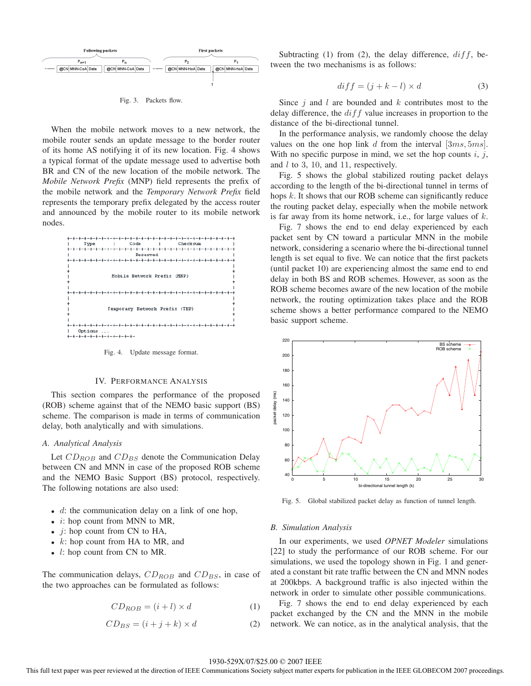

Fig. 3. Packets flow.

When the mobile network moves to a new network, the mobile router sends an update message to the border router of its home AS notifying it of its new location. Fig. 4 shows a typical format of the update message used to advertise both BR and CN of the new location of the mobile network. The *Mobile Network Prefix* (MNP) field represents the prefix of the mobile network and the *Temporary Network Prefix* field represents the temporary prefix delegated by the access router and announced by the mobile router to its mobile network nodes.



Fig. 4. Update message format.

#### IV. PERFORMANCE ANALYSIS

This section compares the performance of the proposed (ROB) scheme against that of the NEMO basic support (BS) scheme. The comparison is made in terms of communication delay, both analytically and with simulations.

# *A. Analytical Analysis*

Let *CDROB* and *CDBS* denote the Communication Delay between CN and MNN in case of the proposed ROB scheme and the NEMO Basic Support (BS) protocol, respectively. The following notations are also used:

- *d*: the communication delay on a link of one hop,
- *i*: hop count from MNN to MR,
- *j*: hop count from CN to HA,
- *k*: hop count from HA to MR, and
- *l*: hop count from CN to MR.

The communication delays, *CDROB* and *CDBS*, in case of the two approaches can be formulated as follows:

$$
CD_{ROB} = (i+l) \times d \tag{1}
$$

$$
CD_{BS} = (i + j + k) \times d \tag{2}
$$

Subtracting  $(1)$  from  $(2)$ , the delay difference,  $di\,f$ , between the two mechanisms is as follows:

$$
diff = (j + k - l) \times d \tag{3}
$$

Since *j* and *l* are bounded and *k* contributes most to the delay difference, the *diff* value increases in proportion to the distance of the bi-directional tunnel.

In the performance analysis, we randomly choose the delay values on the one hop link *d* from the interval [3*ms,* 5*ms*]. With no specific purpose in mind, we set the hop counts *i*, *j*, and *l* to 3, 10, and 11, respectively.

Fig. 5 shows the global stabilized routing packet delays according to the length of the bi-directional tunnel in terms of hops *k*. It shows that our ROB scheme can significantly reduce the routing packet delay, especially when the mobile network is far away from its home network, i.e., for large values of *k*.

Fig. 7 shows the end to end delay experienced by each packet sent by CN toward a particular MNN in the mobile network, considering a scenario where the bi-directional tunnel length is set equal to five. We can notice that the first packets (until packet 10) are experiencing almost the same end to end delay in both BS and ROB schemes. However, as soon as the ROB scheme becomes aware of the new location of the mobile network, the routing optimization takes place and the ROB scheme shows a better performance compared to the NEMO basic support scheme.



Fig. 5. Global stabilized packet delay as function of tunnel length.

#### *B. Simulation Analysis*

In our experiments, we used *OPNET Modeler* simulations [22] to study the performance of our ROB scheme. For our simulations, we used the topology shown in Fig. 1 and generated a constant bit rate traffic between the CN and MNN nodes at 200kbps. A background traffic is also injected within the network in order to simulate other possible communications.

Fig. 7 shows the end to end delay experienced by each packet exchanged by the CN and the MNN in the mobile network. We can notice, as in the analytical analysis, that the

#### 1930-529X/07/\$25.00 © 2007 IEEE